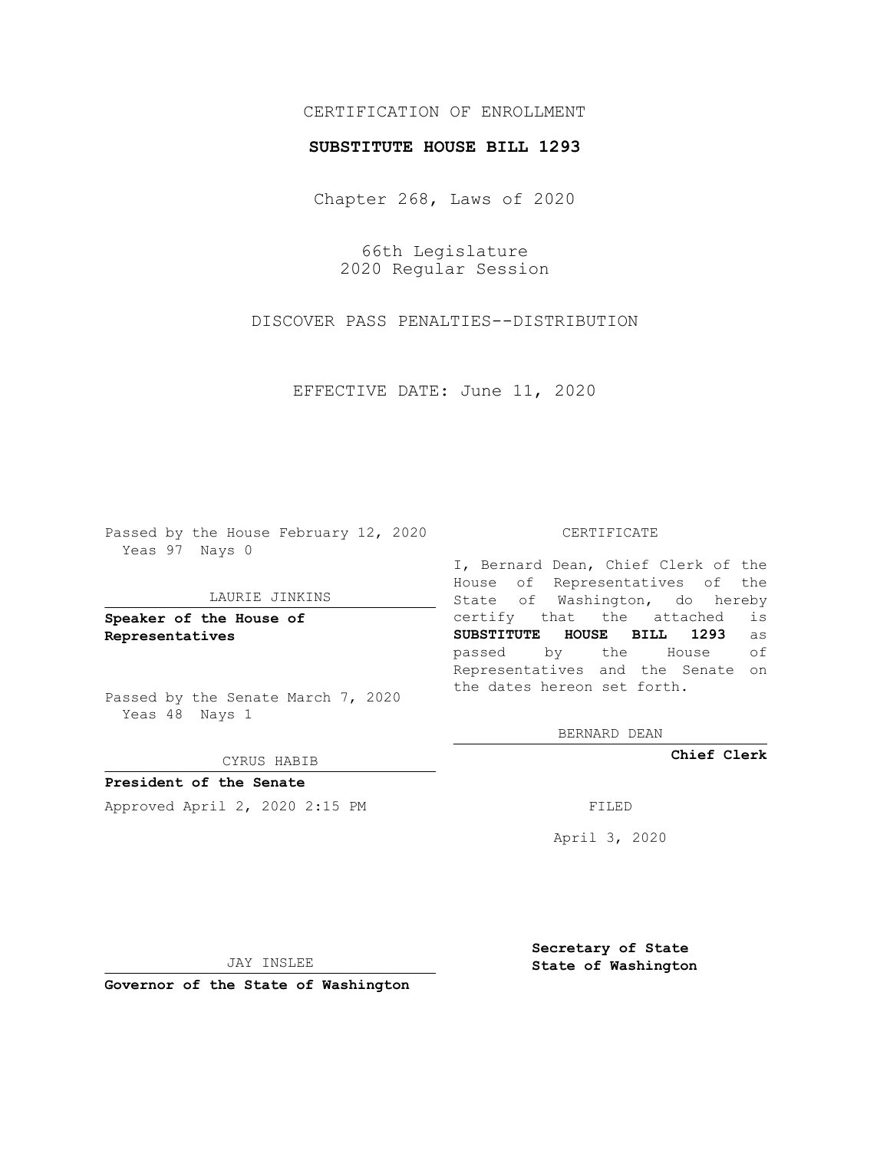# CERTIFICATION OF ENROLLMENT

### **SUBSTITUTE HOUSE BILL 1293**

Chapter 268, Laws of 2020

66th Legislature 2020 Regular Session

DISCOVER PASS PENALTIES--DISTRIBUTION

EFFECTIVE DATE: June 11, 2020

Passed by the House February 12, 2020 Yeas 97 Nays 0

#### LAURIE JINKINS

**Speaker of the House of Representatives**

Passed by the Senate March 7, 2020 Yeas 48 Nays 1

#### CYRUS HABIB

**President of the Senate** Approved April 2, 2020 2:15 PM

#### CERTIFICATE

I, Bernard Dean, Chief Clerk of the House of Representatives of the State of Washington, do hereby certify that the attached is **SUBSTITUTE HOUSE BILL 1293** as passed by the House of Representatives and the Senate on the dates hereon set forth.

BERNARD DEAN

**Chief Clerk**

April 3, 2020

JAY INSLEE

**Governor of the State of Washington**

**Secretary of State State of Washington**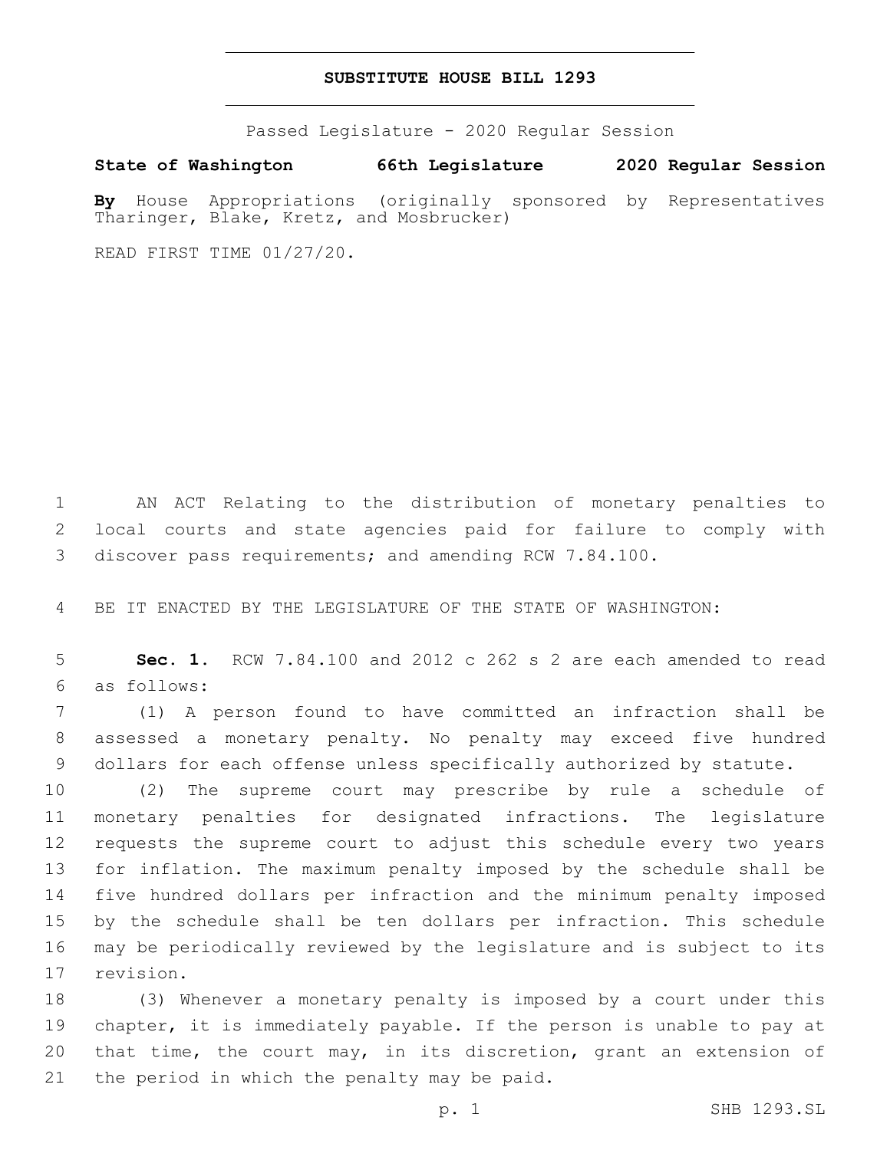## **SUBSTITUTE HOUSE BILL 1293**

Passed Legislature - 2020 Regular Session

**State of Washington 66th Legislature 2020 Regular Session**

**By** House Appropriations (originally sponsored by Representatives Tharinger, Blake, Kretz, and Mosbrucker)

READ FIRST TIME 01/27/20.

 AN ACT Relating to the distribution of monetary penalties to local courts and state agencies paid for failure to comply with discover pass requirements; and amending RCW 7.84.100.

BE IT ENACTED BY THE LEGISLATURE OF THE STATE OF WASHINGTON:

 **Sec. 1.** RCW 7.84.100 and 2012 c 262 s 2 are each amended to read as follows:6

 (1) A person found to have committed an infraction shall be assessed a monetary penalty. No penalty may exceed five hundred dollars for each offense unless specifically authorized by statute.

 (2) The supreme court may prescribe by rule a schedule of monetary penalties for designated infractions. The legislature requests the supreme court to adjust this schedule every two years for inflation. The maximum penalty imposed by the schedule shall be five hundred dollars per infraction and the minimum penalty imposed by the schedule shall be ten dollars per infraction. This schedule may be periodically reviewed by the legislature and is subject to its 17 revision.

 (3) Whenever a monetary penalty is imposed by a court under this chapter, it is immediately payable. If the person is unable to pay at that time, the court may, in its discretion, grant an extension of 21 the period in which the penalty may be paid.